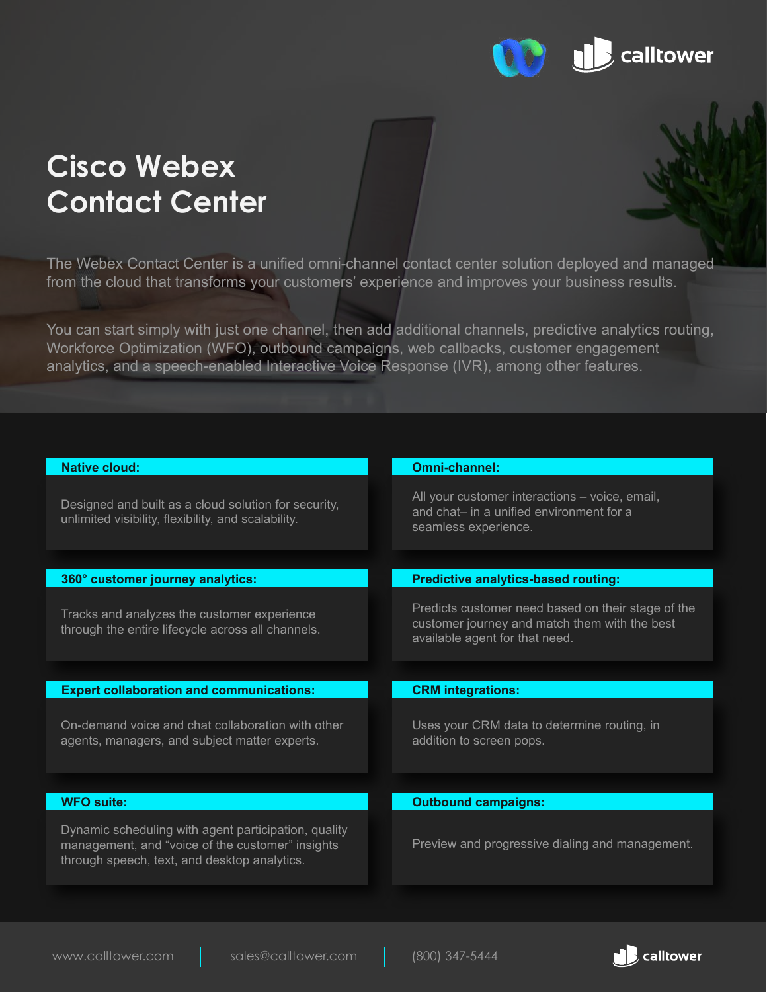

# **Cisco Webex Contact Center**

The Webex Contact Center is a unified omni-channel contact center solution deployed and managed from the cloud that transforms your customers' experience and improves your business results.

You can start simply with just one channel, then add additional channels, predictive analytics routing, Workforce Optimization (WFO), outbound campaigns, web callbacks, customer engagement analytics, and a speech-enabled Interactive Voice Response (IVR), among other features.

| Native cloud:                                                                                                                                            | Omni-channel:                                                                                                                         |
|----------------------------------------------------------------------------------------------------------------------------------------------------------|---------------------------------------------------------------------------------------------------------------------------------------|
| Designed and built as a cloud solution for security,<br>unlimited visibility, flexibility, and scalability.                                              | All your customer interactions – voice, email,<br>and chat- in a unified environment for a<br>seamless experience.                    |
|                                                                                                                                                          |                                                                                                                                       |
| 360° customer journey analytics:                                                                                                                         | <b>Predictive analytics-based routing:</b>                                                                                            |
| Tracks and analyzes the customer experience<br>through the entire lifecycle across all channels.                                                         | Predicts customer need based on their stage of the<br>customer journey and match them with the best<br>available agent for that need. |
|                                                                                                                                                          |                                                                                                                                       |
| <b>Expert collaboration and communications:</b>                                                                                                          | <b>CRM</b> integrations:                                                                                                              |
| On-demand voice and chat collaboration with other<br>agents, managers, and subject matter experts.                                                       | Uses your CRM data to determine routing, in<br>addition to screen pops.                                                               |
|                                                                                                                                                          |                                                                                                                                       |
| <b>WFO suite:</b>                                                                                                                                        | <b>Outbound campaigns:</b>                                                                                                            |
| Dynamic scheduling with agent participation, quality<br>management, and "voice of the customer" insights<br>through speech, text, and desktop analytics. | Preview and progressive dialing and management.                                                                                       |

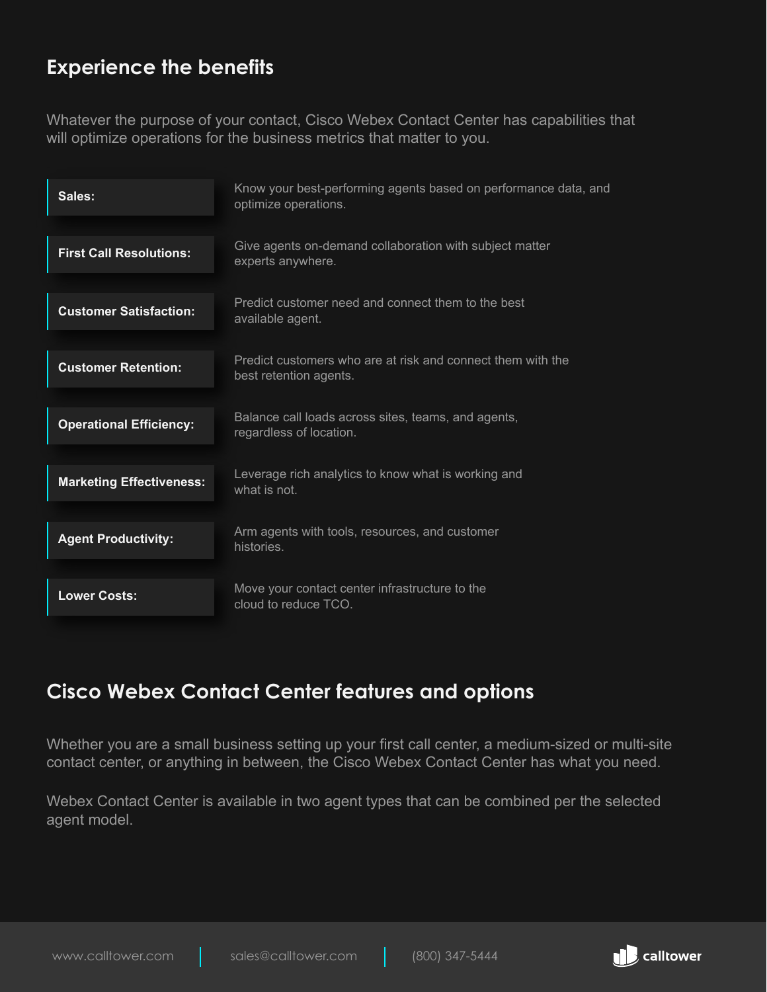# **Experience the benefits**

Whatever the purpose of your contact, Cisco Webex Contact Center has capabilities that will optimize operations for the business metrics that matter to you.

| Sales:                          | Know your best-performing agents based on performance data, and<br>optimize operations. |
|---------------------------------|-----------------------------------------------------------------------------------------|
| <b>First Call Resolutions:</b>  | Give agents on-demand collaboration with subject matter<br>experts anywhere.            |
| <b>Customer Satisfaction:</b>   | Predict customer need and connect them to the best<br>available agent.                  |
| <b>Customer Retention:</b>      | Predict customers who are at risk and connect them with the<br>best retention agents.   |
| <b>Operational Efficiency:</b>  | Balance call loads across sites, teams, and agents,<br>regardless of location.          |
| <b>Marketing Effectiveness:</b> | Leverage rich analytics to know what is working and<br>what is not.                     |
| <b>Agent Productivity:</b>      | Arm agents with tools, resources, and customer<br>histories.                            |
| <b>Lower Costs:</b>             | Move your contact center infrastructure to the<br>cloud to reduce TCO.                  |

### **Cisco Webex Contact Center features and options**

Whether you are a small business setting up your first call center, a medium-sized or multi-site contact center, or anything in between, the Cisco Webex Contact Center has what you need.

Webex Contact Center is available in two agent types that can be combined per the selected agent model.

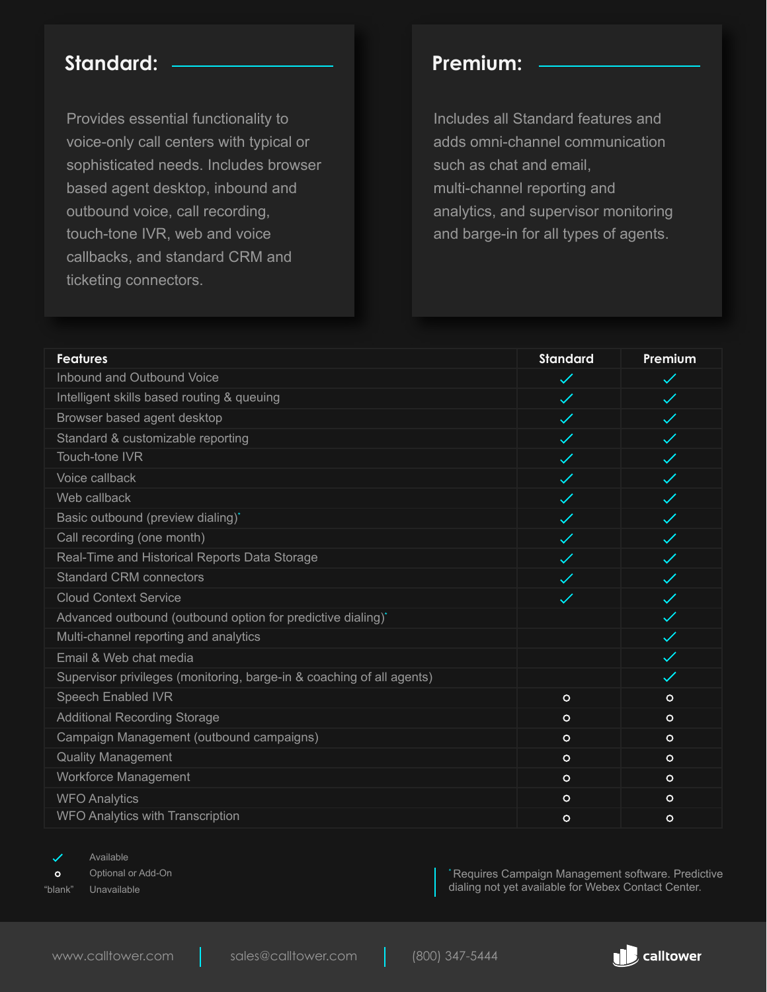### **Standard: Premium:**

Provides essential functionality to voice-only call centers with typical or sophisticated needs. Includes browser based agent desktop, inbound and outbound voice, call recording, touch-tone IVR, web and voice callbacks, and standard CRM and ticketing connectors.

Includes all Standard features and adds omni-channel communication such as chat and email, multi-channel reporting and analytics, and supervisor monitoring and barge-in for all types of agents.

| <b>Features</b>                                                       | <b>Standard</b> | Premium      |
|-----------------------------------------------------------------------|-----------------|--------------|
| Inbound and Outbound Voice                                            | $\checkmark$    | $\checkmark$ |
| Intelligent skills based routing & queuing                            | $\checkmark$    | $\checkmark$ |
| Browser based agent desktop                                           | $\checkmark$    | $\checkmark$ |
| Standard & customizable reporting                                     | $\checkmark$    | $\checkmark$ |
| Touch-tone IVR                                                        | $\checkmark$    | $\checkmark$ |
| Voice callback                                                        | $\checkmark$    | $\checkmark$ |
| Web callback                                                          |                 | $\checkmark$ |
| Basic outbound (preview dialing)*                                     | $\checkmark$    | $\checkmark$ |
| Call recording (one month)                                            | $\checkmark$    | $\checkmark$ |
| Real-Time and Historical Reports Data Storage                         | $\checkmark$    | $\checkmark$ |
| <b>Standard CRM connectors</b>                                        | $\checkmark$    | $\checkmark$ |
| <b>Cloud Context Service</b>                                          | $\checkmark$    | $\checkmark$ |
| Advanced outbound (outbound option for predictive dialing)*           |                 | $\checkmark$ |
| Multi-channel reporting and analytics                                 |                 | $\checkmark$ |
| Email & Web chat media                                                |                 | $\checkmark$ |
| Supervisor privileges (monitoring, barge-in & coaching of all agents) |                 | $\checkmark$ |
| Speech Enabled IVR                                                    | $\circ$         | $\circ$      |
| <b>Additional Recording Storage</b>                                   | $\circ$         | $\circ$      |
| Campaign Management (outbound campaigns)                              | $\circ$         | $\circ$      |
| <b>Quality Management</b>                                             | $\circ$         | $\circ$      |
| <b>Workforce Management</b>                                           | $\circ$         | $\circ$      |
| <b>WFO Analytics</b>                                                  | $\circ$         | $\circ$      |
| WFO Analytics with Transcription                                      | $\circ$         | $\circ$      |

✓

Available

Optional or Add-On  $\circ$ 

"blank" Unavailable

\* Requires Campaign Management software. Predictive dialing not yet available for Webex Contact Center.